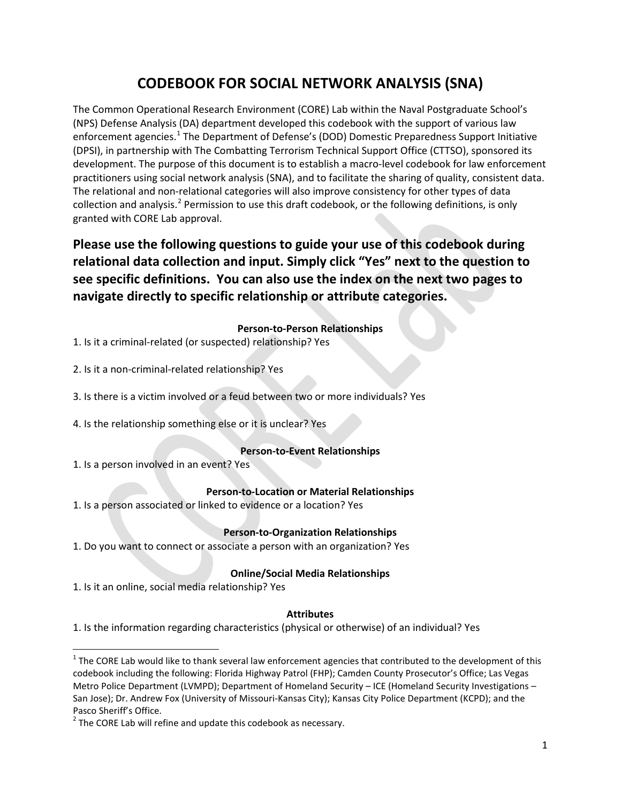# **CODEBOOK FOR SOCIAL NETWORK ANALYSIS (SNA)**

<span id="page-0-2"></span>The Common Operational Research Environment (CORE) Lab within the Naval Postgraduate School's (NPS) Defense Analysis (DA) department developed this codebook with the support of various law enforcement agencies.<sup>[1](#page-0-0)</sup> The Department of Defense's (DOD) Domestic Preparedness Support Initiative (DPSI), in partnership with The Combatting Terrorism Technical Support Office (CTTSO), sponsored its development. The purpose of this document is to establish a macro-level codebook for law enforcement practitioners using social network analysis (SNA), and to facilitate the sharing of quality, consistent data. The relational and non-relational categories will also improve consistency for other types of data collection and analysis.<sup>[2](#page-0-1)</sup> Permission to use this draft codebook, or the following definitions, is only granted with CORE Lab approval.

**Please use the following questions to guide your use of this codebook during relational data collection and input. Simply click "Yes" next to the question to see specific definitions. You can also use the index on the next two pages to navigate directly to specific relationship or attribute categories.**

#### **Person-to-Person Relationships**

1. Is it a criminal-related (or suspected) relationship[? Yes](#page-3-0) 

2. Is it a non-criminal-related relationship[? Yes](#page-4-0)

3. Is there is a victim involved or a feud between two or more individuals? [Yes](#page-5-0) 

4. Is the relationship something else or it is unclear? [Yes](#page-5-0) 

## **Person-to-Event Relationships**

1. Is a person involved in an event[? Yes](#page-5-0)

## **Person-to-Location or Material Relationships**

1. Is a person associated or linked to evidence or a location? [Yes](#page-6-0)

## **Person-to-Organization Relationships**

1. Do you want to connect or associate a person with an organization[? Yes](#page-6-0)

## **Online/Social Media Relationships**

1. Is it an online, social media relationship[? Yes](#page-6-0)

#### **Attributes**

1. Is the information regarding characteristics (physical or otherwise) of an individual[? Yes](#page-7-0)

<span id="page-0-0"></span> $1$  The CORE Lab would like to thank several law enforcement agencies that contributed to the development of this codebook including the following: Florida Highway Patrol (FHP); Camden County Prosecutor's Office; Las Vegas Metro Police Department (LVMPD); Department of Homeland Security – ICE (Homeland Security Investigations – San Jose); Dr. Andrew Fox (University of Missouri-Kansas City); Kansas City Police Department (KCPD); and the Pasco Sheriff's Office.<br> $2^2$  The CORE Lab will refine and update this codebook as necessary.

<span id="page-0-1"></span>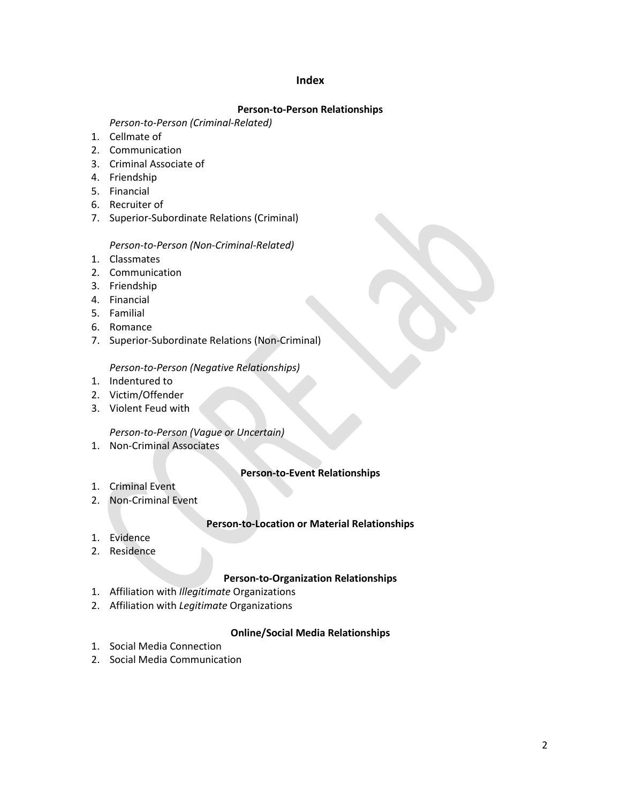#### **Index**

#### **Person-to-Person Relationships**

#### *Person-to-Person (Criminal-Related)*

- 1. Cellmate of
- 2. Communication
- 3. Criminal Associate of
- 4. Friendship
- 5. Financial
- 6. Recruiter of
- 7. [Superior-Subordinate Relations \(Criminal\)](#page-3-0)

#### *Person-to-Person (Non-Criminal-Related)*

- 1. Classmates
- 2. Communication
- 3. Friendship
- 4. Financial
- 5. Familial
- 6. Romance
- 7. [Superior-Subordinate Relations \(Non-Criminal\)](#page-4-0)

*[Person-to-Person \(Negative Relationships\)](#page-5-0)*

- 1. Indentured to
- 2. Victim/Offender
- 3. Violent Feud with

#### *[Person-to-Person \(Vague or Uncertain\)](#page-5-0)*

1. Non-Criminal Associates

#### **Person-to-Event Relationships**

- 1. Criminal Event
- 2. [Non-Criminal Event](#page-5-0)

#### **Person-to-Location or Material Relationships**

- 1. Evidence
- 2. [Residence](#page-6-0)

#### **Person-to-Organization Relationships**

- 1. [Affiliation with](#page-6-0) *Illegitimate* Organizations
- 2. Affiliation with *Legitimate* Organizations

#### **Online/Social Media Relationships**

- 1. Social Media Connection
- 2. [Social Media Communication](#page-6-0)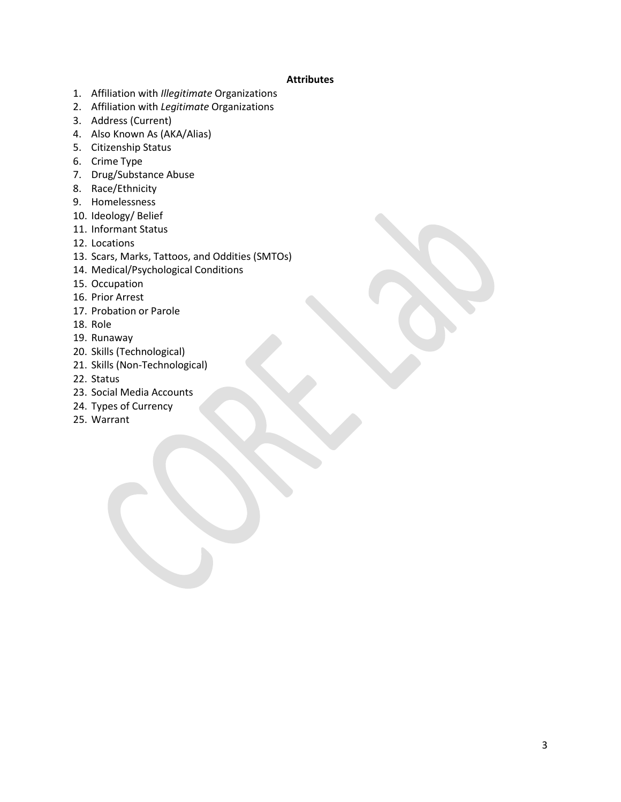#### **Attributes**

- 1. Affiliation with *Illegitimate* Organizations
- 2. Affiliation with *Legitimate* Organizations
- 3. Address (Current)
- 4. [Also Known As \(AKA/Alias\)](#page-7-0)
- 5. Citizenship Status
- 6. Crime Type
- 7. [Drug/Substance Abuse](#page-8-0)
- 8. Race/Ethnicity
- 9. Homelessness
- 10. Ideology/ Belief
- 11. Informant Status
- 12. Locations
- 13. [Scars, Marks, Tattoos, and Oddities \(SMTOs\)](#page-9-0)
- 14. Medical/Psychological Conditions
- 15. Occupation
- 16. Prior Arrest
- 17. Probation or Parole
- 18. Role
- 19. Runaway
- 20. Skills (Technological)
- 21. Skills (Non-Technological)
- 22. Status
- 23. Social Media Accounts
- 24. [Types of Currency](#page-10-0)
- 25. Warrant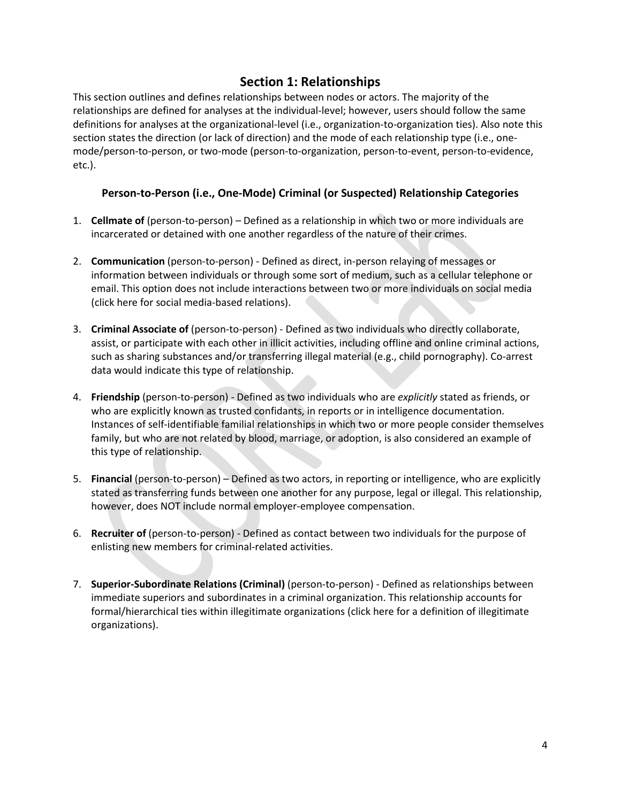# **Section 1: Relationships**

<span id="page-3-0"></span>This section outlines and defines relationships between nodes or actors. The majority of the relationships are defined for analyses at the individual-level; however, users should follow the same definitions for analyses at the organizational-level (i.e., organization-to-organization ties). Also note this section states the direction (or lack of direction) and the mode of each relationship type (i.e., onemode/person-to-person, or two-mode (person-to-organization, person-to-event, person-to-evidence, etc.).

## **Person-to-Person (i.e., One-Mode) Criminal (or Suspected) Relationship Categories**

- 1. **Cellmate of** (person-to-person) Defined as a relationship in which two or more individuals are incarcerated or detained with one another regardless of the nature of their crimes.
- 2. **Communication** (person-to-person) Defined as direct, in-person relaying of messages or information between individuals or through some sort of medium, such as a cellular telephone or email. This option does not include interactions between two or more individuals on social media (click [here f](#page-6-0)or social media-based relations).
- 3. **Criminal Associate of** (person-to-person) Defined as two individuals who directly collaborate, assist, or participate with each other in illicit activities, including offline and online criminal actions, such as sharing substances and/or transferring illegal material (e.g., child pornography). Co-arrest data would indicate this type of relationship.
- 4. **Friendship** (person-to-person) Defined as two individuals who are *explicitly* stated as friends, or who are explicitly known as trusted confidants, in reports or in intelligence documentation. Instances of self-identifiable familial relationships in which two or more people consider themselves family, but who are not related by blood, marriage, or adoption, is also considered an example of this type of relationship.
- 5. **Financial** (person-to-person) Defined as two actors, in reporting or intelligence, who are explicitly stated as transferring funds between one another for any purpose, legal or illegal. This relationship, however, does NOT include normal employer-employee compensation.
- 6. **Recruiter of** (person-to-person) Defined as contact between two individuals for the purpose of enlisting new members for criminal-related activities.
- 7. **Superior-Subordinate Relations (Criminal)** (person-to-person) Defined as relationships between immediate superiors and subordinates in a criminal organization. This relationship accounts for formal/hierarchical ties within illegitimate organizations (clic[k here f](#page-6-0)or a definition of illegitimate organizations).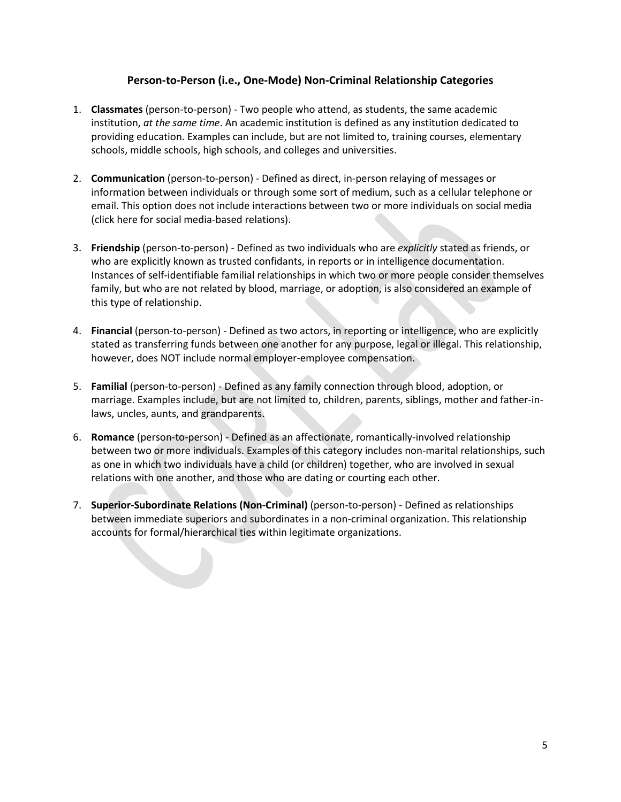## **Person-to-Person (i.e., One-Mode) Non-Criminal Relationship Categories**

- <span id="page-4-0"></span>1. **Classmates** (person-to-person) - Two people who attend, as students, the same academic institution, *at the same time*. An academic institution is defined as any institution dedicated to providing education. Examples can include, but are not limited to, training courses, elementary schools, middle schools, high schools, and colleges and universities.
- 2. **Communication** (person-to-person) Defined as direct, in-person relaying of messages or information between individuals or through some sort of medium, such as a cellular telephone or email. This option does not include interactions between two or more individuals on social media (click [here f](#page-6-0)or social media-based relations).
- 3. **Friendship** (person-to-person) Defined as two individuals who are *explicitly* stated as friends, or who are explicitly known as trusted confidants, in reports or in intelligence documentation. Instances of self-identifiable familial relationships in which two or more people consider themselves family, but who are not related by blood, marriage, or adoption, is also considered an example of this type of relationship.
- 4. **Financial** (person-to-person) Defined as two actors, in reporting or intelligence, who are explicitly stated as transferring funds between one another for any purpose, legal or illegal. This relationship, however, does NOT include normal employer-employee compensation.
- 5. **Familial** (person-to-person) Defined as any family connection through blood, adoption, or marriage. Examples include, but are not limited to, children, parents, siblings, mother and father-inlaws, uncles, aunts, and grandparents.
- 6. **Romance** (person-to-person) Defined as an affectionate, romantically-involved relationship between two or more individuals. Examples of this category includes non-marital relationships, such as one in which two individuals have a child (or children) together, who are involved in sexual relations with one another, and those who are dating or courting each other.
- 7. **Superior-Subordinate Relations (Non-Criminal)** (person-to-person) Defined as relationships between immediate superiors and subordinates in a non-criminal organization. This relationship accounts for formal/hierarchical ties within legitimate organizations.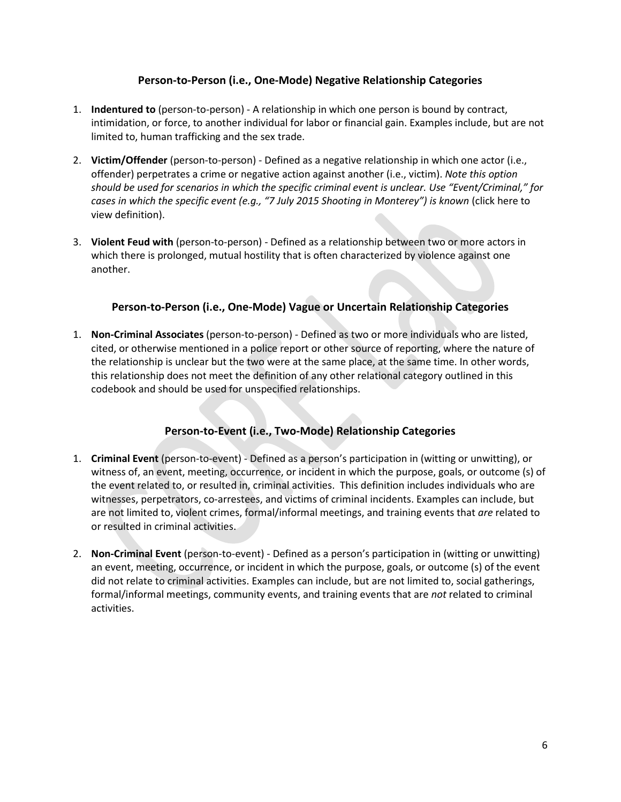## **Person-to-Person (i.e., One-Mode) Negative Relationship Categories**

- <span id="page-5-0"></span>1. **Indentured to** (person-to-person) - A relationship in which one person is bound by contract, intimidation, or force, to another individual for labor or financial gain. Examples include, but are not limited to, human trafficking and the sex trade.
- 2. **Victim/Offender** (person-to-person) Defined as a negative relationship in which one actor (i.e., offender) perpetrates a crime or negative action against another (i.e., victim). *Note this option should be used for scenarios in which the specific criminal event is unclear. Use "Event/Criminal," for cases in which the specific event (e.g., "7 July 2015 Shooting in Monterey") is known* (click here to view definition).
- 3. **Violent Feud with** (person-to-person) Defined as a relationship between two or more actors in which there is prolonged, mutual hostility that is often characterized by violence against one another.

## **Person-to-Person (i.e., One-Mode) Vague or Uncertain Relationship Categories**

1. **Non-Criminal Associates** (person-to-person) - Defined as two or more individuals who are listed, cited, or otherwise mentioned in a police report or other source of reporting, where the nature of the relationship is unclear but the two were at the same place, at the same time. In other words, this relationship does not meet the definition of any other relational category outlined in this codebook and should be used for unspecified relationships.

## **Person-to-Event (i.e., Two-Mode) Relationship Categories**

- 1. **Criminal Event** (person-to-event) Defined as a person's participation in (witting or unwitting), or witness of, an event, meeting, occurrence, or incident in which the purpose, goals, or outcome (s) of the event related to, or resulted in, criminal activities. This definition includes individuals who are witnesses, perpetrators, co-arrestees, and victims of criminal incidents. Examples can include, but are not limited to, violent crimes, formal/informal meetings, and training events that *are* related to or resulted in criminal activities.
- 2. **Non-Criminal Event** (person-to-event) Defined as a person's participation in (witting or unwitting) an event, meeting, occurrence, or incident in which the purpose, goals, or outcome (s) of the event did not relate to criminal activities. Examples can include, but are not limited to, social gatherings, formal/informal meetings, community events, and training events that are *not* related to criminal activities.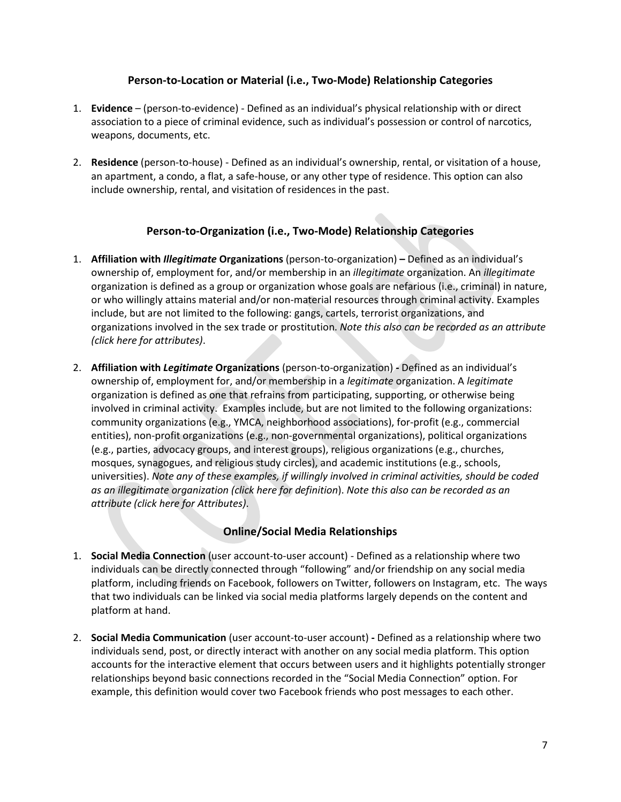## **Person-to-Location or Material (i.e., Two-Mode) Relationship Categories**

- <span id="page-6-0"></span>1. **Evidence** – (person-to-evidence) - Defined as an individual's physical relationship with or direct association to a piece of criminal evidence, such as individual's possession or control of narcotics, weapons, documents, etc.
- 2. **Residence** (person-to-house) Defined as an individual's ownership, rental, or visitation of a house, an apartment, a condo, a flat, a safe-house, or any other type of residence. This option can also include ownership, rental, and visitation of residences in the past.

## **Person-to-Organization (i.e., Two-Mode) Relationship Categories**

- 1. **Affiliation with** *Illegitimate* **Organizations** (person-to-organization) **–** Defined as an individual's ownership of, employment for, and/or membership in an *illegitimate* organization. An *illegitimate* organization is defined as a group or organization whose goals are nefarious (i.e., criminal) in nature, or who willingly attains material and/or non-material resources through criminal activity. Examples include, but are not limited to the following: gangs, cartels, terrorist organizations, and organizations involved in the sex trade or prostitution. *Note this also can be recorded as an attribute (click [here f](#page-7-0)or attributes)*.
- 2. **Affiliation with** *Legitimate* **Organizations** (person-to-organization) **-** Defined as an individual's ownership of, employment for, and/or membership in a *legitimate* organization. A *legitimate* organization is defined as one that refrains from participating, supporting, or otherwise being involved in criminal activity. Examples include, but are not limited to the following organizations: community organizations (e.g., YMCA, neighborhood associations), for-profit (e.g., commercial entities), non-profit organizations (e.g., non-governmental organizations), political organizations (e.g., parties, advocacy groups, and interest groups), religious organizations (e.g., churches, mosques, synagogues, and religious study circles), and academic institutions (e.g., schools, universities). *Note any of these examples, if willingly involved in criminal activities, should be coded as an illegitimate organization (click here for definition*). *Note this also can be recorded as an attribute (click [here f](#page-7-0)or Attributes)*.

## **Online/Social Media Relationships**

- 1. **Social Media Connection** (user account-to-user account) Defined as a relationship where two individuals can be directly connected through "following" and/or friendship on any social media platform, including friends on Facebook, followers on Twitter, followers on Instagram, etc. The ways that two individuals can be linked via social media platforms largely depends on the content and platform at hand.
- 2. **Social Media Communication** (user account-to-user account) **-** Defined as a relationship where two individuals send, post, or directly interact with another on any social media platform. This option accounts for the interactive element that occurs between users and it highlights potentially stronger relationships beyond basic connections recorded in the "Social Media Connection" option. For example, this definition would cover two Facebook friends who post messages to each other.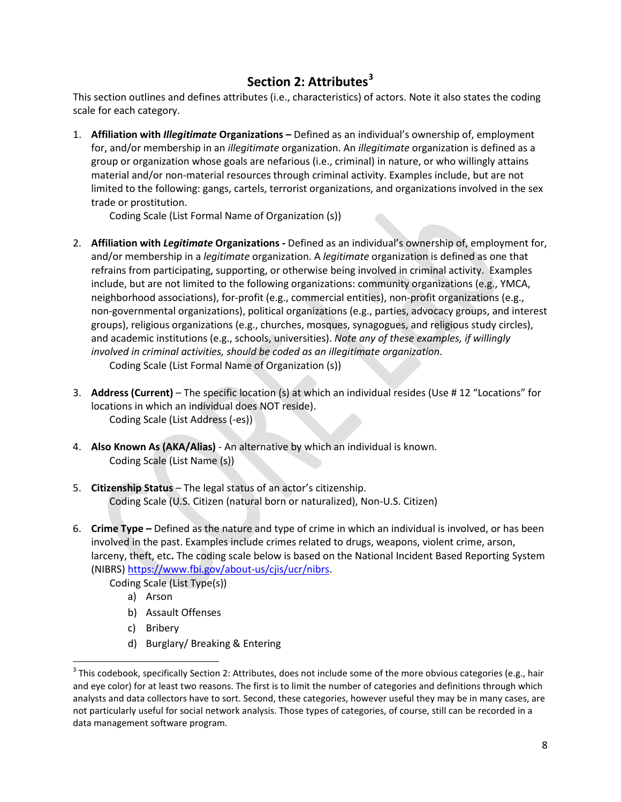# **Section 2: Attributes[3](#page-7-1)**

<span id="page-7-0"></span>This section outlines and defines attributes (i.e., characteristics) of actors. Note it also states the coding scale for each category.

1. **Affiliation with** *Illegitimate* **Organizations –** Defined as an individual's ownership of, employment for, and/or membership in an *illegitimate* organization. An *illegitimate* organization is defined as a group or organization whose goals are nefarious (i.e., criminal) in nature, or who willingly attains material and/or non-material resources through criminal activity. Examples include, but are not limited to the following: gangs, cartels, terrorist organizations, and organizations involved in the sex trade or prostitution.

Coding Scale (List Formal Name of Organization (s))

- 2. **Affiliation with** *Legitimate* **Organizations -** Defined as an individual's ownership of, employment for, and/or membership in a *legitimate* organization. A *legitimate* organization is defined as one that refrains from participating, supporting, or otherwise being involved in criminal activity. Examples include, but are not limited to the following organizations: community organizations (e.g., YMCA, neighborhood associations), for-profit (e.g., commercial entities), non-profit organizations (e.g., non-governmental organizations), political organizations (e.g., parties, advocacy groups, and interest groups), religious organizations (e.g., churches, mosques, synagogues, and religious study circles), and academic institutions (e.g., schools, universities). *Note any of these examples, if willingly involved in criminal activities, should be coded as an illegitimate organization*. Coding Scale (List Formal Name of Organization (s))
- 3. **Address (Current)** The specific location (s) at which an individual resides (Use # 12 "Locations" for locations in which an individual does NOT reside). Coding Scale (List Address (-es))
- 4. **Also Known As (AKA/Alias)** An alternative by which an individual is known. Coding Scale (List Name (s))
- 5. **Citizenship Status**  The legal status of an actor's citizenship. Coding Scale (U.S. Citizen (natural born or naturalized), Non-U.S. Citizen)
- 6. **Crime Type –** Defined as the nature and type of crime in which an individual is involved, or has been involved in the past. Examples include crimes related to drugs, weapons, violent crime, arson, larceny, theft, etc**.** The coding scale below is based on the National Incident Based Reporting System (NIBRS) [https://www.fbi.gov/about-us/cjis/ucr/nibrs.](https://www.fbi.gov/about-us/cjis/ucr/nibrs)

Coding Scale (List Type(s))

- a) Arson
- b) Assault Offenses
- c) Bribery
- d) Burglary/ Breaking & Entering

<span id="page-7-1"></span> $3$  This codebook, specifically Section 2: Attributes, does not include some of the more obvious categories (e.g., hair and eye color) for at least two reasons. The first is to limit the number of categories and definitions through which analysts and data collectors have to sort. Second, these categories, however useful they may be in many cases, are not particularly useful for social network analysis. Those types of categories, of course, still can be recorded in a data management software program.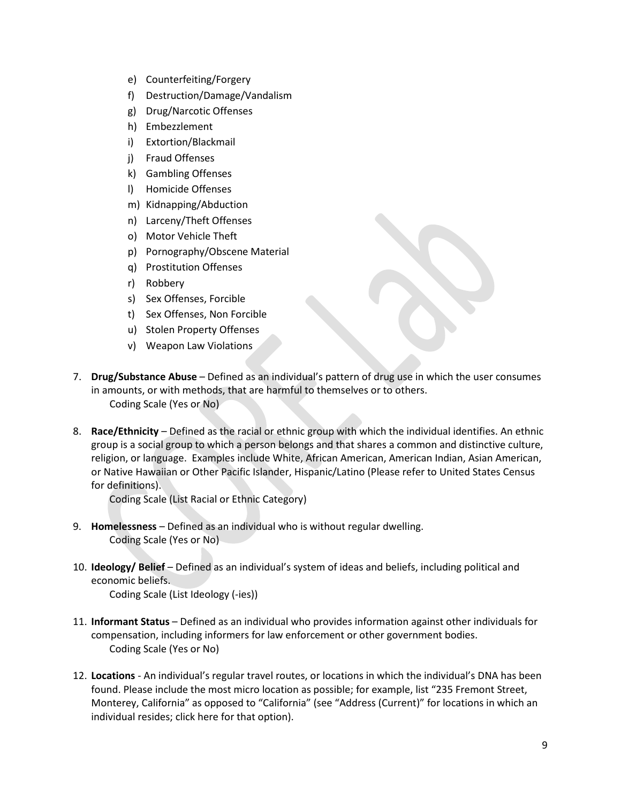- <span id="page-8-0"></span>e) Counterfeiting/Forgery
- f) Destruction/Damage/Vandalism
- g) Drug/Narcotic Offenses
- h) Embezzlement
- i) Extortion/Blackmail
- j) Fraud Offenses
- k) Gambling Offenses
- l) Homicide Offenses
- m) Kidnapping/Abduction
- n) Larceny/Theft Offenses
- o) Motor Vehicle Theft
- p) Pornography/Obscene Material
- q) Prostitution Offenses
- r) Robbery
- s) Sex Offenses, Forcible
- t) Sex Offenses, Non Forcible
- u) Stolen Property Offenses
- v) Weapon Law Violations
- 7. **Drug/Substance Abuse** Defined as an individual's pattern of drug use in which the user consumes in amounts, or with methods, that are harmful to themselves or to others. Coding Scale (Yes or No)
- 8. **Race/Ethnicity** Defined as the racial or ethnic group with which the individual identifies. An ethnic group is a social group to which a person belongs and that shares a common and distinctive culture, religion, or language. Examples include White, African American, American Indian, Asian American, or Native Hawaiian or Other Pacific Islander, Hispanic/Latino (Please refer to United States Census for definitions).

Coding Scale (List Racial or Ethnic Category)

- 9. **Homelessness** Defined as an individual who is without regular dwelling. Coding Scale (Yes or No)
- 10. **Ideology/ Belief** Defined as an individual's system of ideas and beliefs, including political and economic beliefs.

Coding Scale (List Ideology (-ies))

- 11. **Informant Status** Defined as an individual who provides information against other individuals for compensation, including informers for law enforcement or other government bodies. Coding Scale (Yes or No)
- 12. **Locations** An individual's regular travel routes, or locations in which the individual's DNA has been found. Please include the most micro location as possible; for example, list "235 Fremont Street, Monterey, California" as opposed to "California" (see "Address (Current)" for locations in which an individual resides; click [here f](#page-7-0)or that option).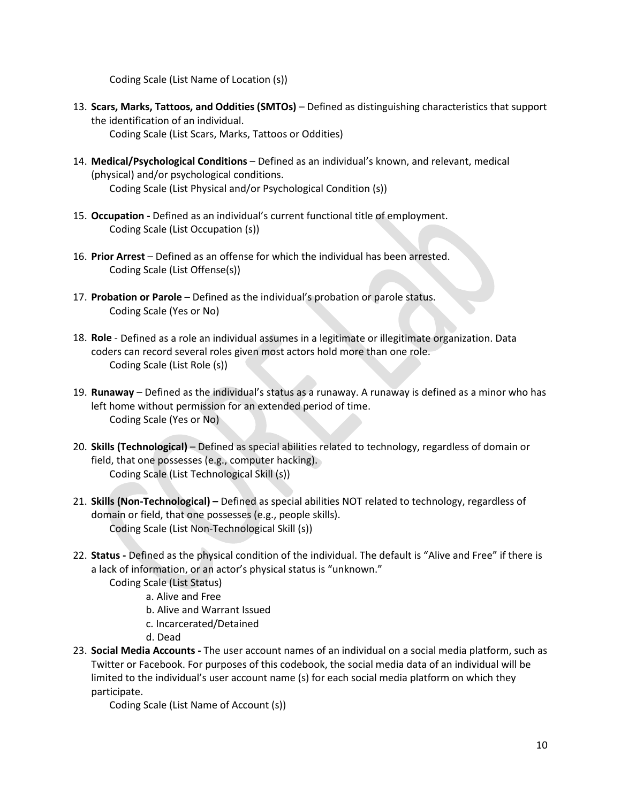Coding Scale (List Name of Location (s))

- <span id="page-9-0"></span>13. **Scars, Marks, Tattoos, and Oddities (SMTOs)** – Defined as distinguishing characteristics that support the identification of an individual. Coding Scale (List Scars, Marks, Tattoos or Oddities)
- 14. **Medical/Psychological Conditions** Defined as an individual's known, and relevant, medical (physical) and/or psychological conditions.

Coding Scale (List Physical and/or Psychological Condition (s))

- 15. **Occupation -** Defined as an individual's current functional title of employment. Coding Scale (List Occupation (s))
- 16. **Prior Arrest** Defined as an offense for which the individual has been arrested. Coding Scale (List Offense(s))
- 17. **Probation or Parole** Defined as the individual's probation or parole status. Coding Scale (Yes or No)
- 18. **Role** Defined as a role an individual assumes in a legitimate or illegitimate organization. Data coders can record several roles given most actors hold more than one role. Coding Scale (List Role (s))
- 19. **Runaway** Defined as the individual's status as a runaway. A runaway is defined as a minor who has left home without permission for an extended period of time. Coding Scale (Yes or No)
- 20. **Skills (Technological)** Defined as special abilities related to technology, regardless of domain or field, that one possesses (e.g., computer hacking). Coding Scale (List Technological Skill (s))
- 21. **Skills (Non-Technological) –** Defined as special abilities NOT related to technology, regardless of domain or field, that one possesses (e.g., people skills). Coding Scale (List Non-Technological Skill (s))
- 22. **Status -** Defined as the physical condition of the individual. The default is "Alive and Free" if there is a lack of information, or an actor's physical status is "unknown."
	- Coding Scale (List Status)

a. Alive and Free

- b. Alive and Warrant Issued
- c. Incarcerated/Detained
- d. Dead
- 23. **Social Media Accounts -** The user account names of an individual on a social media platform, such as Twitter or Facebook. For purposes of this codebook, the social media data of an individual will be limited to the individual's user account name (s) for each social media platform on which they participate.

Coding Scale (List Name of Account (s))